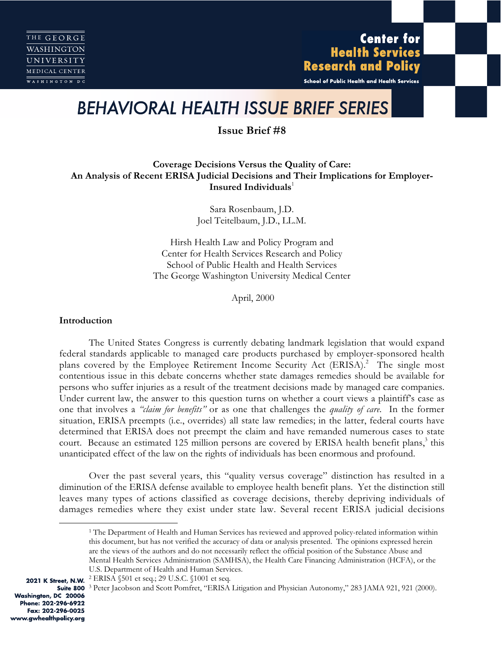# **Center for Health Services Research and Policy**

School of Public Health and Health Services

# *BEHAVIORAL HEALTH ISSUE BRIEF SERIES*

# **Issue Brief #8**

# **Coverage Decisions Versus the Quality of Care: An Analysis of Recent ERISA Judicial Decisions and Their Implications for Employer-Insured Individuals**

Sara Rosenbaum, J.D. Joel Teitelbaum, J.D., LL.M.

Hirsh Health Law and Policy Program and Center for Health Services Research and Policy School of Public Health and Health Services The George Washington University Medical Center

April, 2000

#### **Introduction**

The United States Congress is currently debating landmark legislation that would expand federal standards applicable to managed care products purchased by employer-sponsored health plans covered by the Employee Retirement Income Security Act (ERISA).<sup>2</sup> The single most contentious issue in this debate concerns whether state damages remedies should be available for persons who suffer injuries as a result of the treatment decisions made by managed care companies. Under current law, the answer to this question turns on whether a court views a plaintiff's case as one that involves a *"claim for benefits"* or as one that challenges the *quality of care.* In the former situation, ERISA preempts (i.e., overrides) all state law remedies; in the latter, federal courts have determined that ERISA does not preempt the claim and have remanded numerous cases to state court. Because an estimated 125 million persons are covered by ERISA health benefit plans,<sup>3</sup> this unanticipated effect of the law on the rights of individuals has been enormous and profound.

Over the past several years, this "quality versus coverage" distinction has resulted in a diminution of the ERISA defense available to employee health benefit plans. Yet the distinction still leaves many types of actions classified as coverage decisions, thereby depriving individuals of damages remedies where they exist under state law. Several recent ERISA judicial decisions

<sup>&</sup>lt;sup>1</sup> The Department of Health and Human Services has reviewed and approved policy-related information within this document, but has not verified the accuracy of data or analysis presented. The opinions expressed herein are the views of the authors and do not necessarily reflect the official position of the Substance Abuse and Mental Health Services Administration (SAMHSA), the Health Care Financing Administration (HCFA), or the U.S. Department of Health and Human Services.

<sup>2021</sup> K Street, N.W. <sup>2</sup> ERISA §501 et seq.; 29 U.S.C. §1001 et seq.

**Suite 800** <sup>3</sup> Peter Jacobson and Scott Pomfret, "ERISA Litigation and Physician Autonomy," 283 JAMA 921, 921 (2000).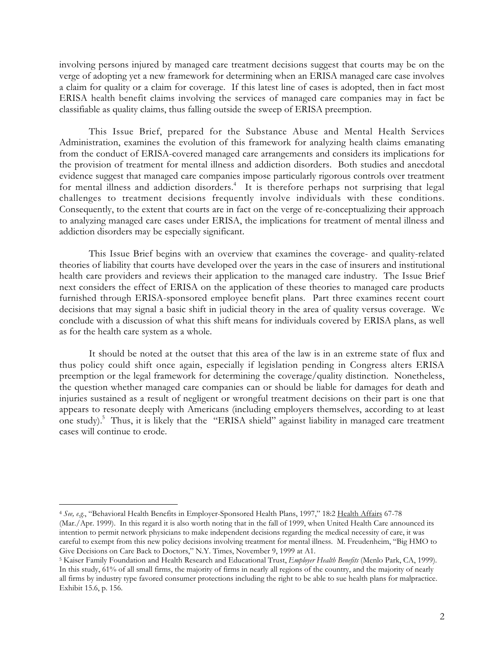involving persons injured by managed care treatment decisions suggest that courts may be on the verge of adopting yet a new framework for determining when an ERISA managed care case involves a claim for quality or a claim for coverage. If this latest line of cases is adopted, then in fact most ERISA health benefit claims involving the services of managed care companies may in fact be classifiable as quality claims, thus falling outside the sweep of ERISA preemption.

This Issue Brief, prepared for the Substance Abuse and Mental Health Services Administration, examines the evolution of this framework for analyzing health claims emanating from the conduct of ERISA-covered managed care arrangements and considers its implications for the provision of treatment for mental illness and addiction disorders. Both studies and anecdotal evidence suggest that managed care companies impose particularly rigorous controls over treatment for mental illness and addiction disorders.<sup>4</sup> It is therefore perhaps not surprising that legal challenges to treatment decisions frequently involve individuals with these conditions. Consequently, to the extent that courts are in fact on the verge of re-conceptualizing their approach to analyzing managed care cases under ERISA, the implications for treatment of mental illness and addiction disorders may be especially significant.

This Issue Brief begins with an overview that examines the coverage- and quality-related theories of liability that courts have developed over the years in the case of insurers and institutional health care providers and reviews their application to the managed care industry. The Issue Brief next considers the effect of ERISA on the application of these theories to managed care products furnished through ERISA-sponsored employee benefit plans. Part three examines recent court decisions that may signal a basic shift in judicial theory in the area of quality versus coverage. We conclude with a discussion of what this shift means for individuals covered by ERISA plans, as well as for the health care system as a whole.

It should be noted at the outset that this area of the law is in an extreme state of flux and thus policy could shift once again, especially if legislation pending in Congress alters ERISA preemption or the legal framework for determining the coverage/quality distinction. Nonetheless, the question whether managed care companies can or should be liable for damages for death and injuries sustained as a result of negligent or wrongful treatment decisions on their part is one that appears to resonate deeply with Americans (including employers themselves, according to at least one study).<sup>5</sup> Thus, it is likely that the "ERISA shield" against liability in managed care treatment cases will continue to erode.

<sup>&</sup>lt;sup>4</sup> *See, e.g.*, "Behavioral Health Benefits in Employer-Sponsored Health Plans, 1997," 18:2 <u>Health Affairs</u> 67-78<br>Mar / Apr. 1999) . In this regard it is also worth noting that in the fall of 1999, when United Health Car (Mar./Apr. 1999). In this regard it is also worth noting that in the fall of 1999, when United Health Care announced its intention to permit network physicians to make independent decisions regarding the medical necessity of care, it was careful to exempt from this new policy decisions involving treatment for mental illness. M. Freudenheim, "Big HMO to Give Decisions on Care Back to Doctors," N.Y. Times, November 9, 1999 at A1.

<sup>5</sup> Kaiser Family Foundation and Health Research and Educational Trust, *Employer Health Benefits* (Menlo Park, CA, 1999). In this study, 61% of all small firms, the majority of firms in nearly all regions of the country, and the majority of nearly all firms by industry type favored consumer protections including the right to be able to sue health plans for malpractice. Exhibit 15.6, p. 156.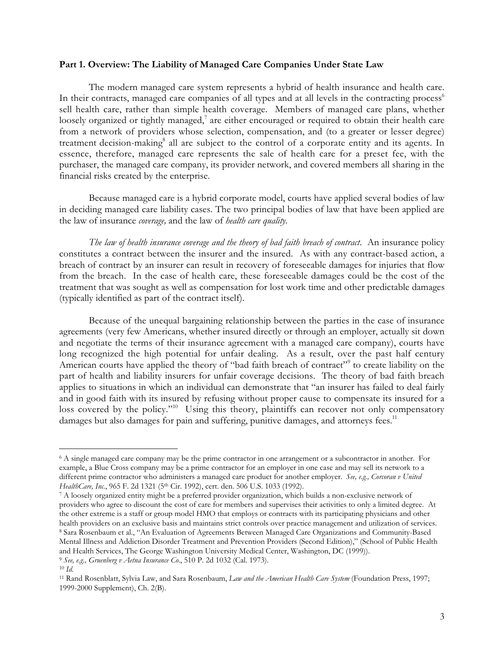#### **Part 1. Overview: The Liability of Managed Care Companies Under State Law**

The modern managed care system represents a hybrid of health insurance and health care. In their contracts, managed care companies of all types and at all levels in the contracting process<sup>6</sup> sell health care, rather than simple health coverage. Members of managed care plans, whether loosely organized or tightly managed, $^7$  are either encouraged or required to obtain their health care from a network of providers whose selection, compensation, and (to a greater or lesser degree) treatment decision-making<sup>8</sup> all are subject to the control of a corporate entity and its agents. In essence, therefore, managed care represents the sale of health care for a preset fee, with the purchaser, the managed care company, its provider network, and covered members all sharing in the financial risks created by the enterprise.

Because managed care is a hybrid corporate model, courts have applied several bodies of law in deciding managed care liability cases. The two principal bodies of law that have been applied are the law of insurance *coverage,* and the law of *health care quality.*

*The law of health insurance coverage and the theory of bad faith breach of contract*. An insurance policy constitutes a contract between the insurer and the insured. As with any contract-based action, a breach of contract by an insurer can result in recovery of foreseeable damages for injuries that flow from the breach. In the case of health care, these foreseeable damages could be the cost of the treatment that was sought as well as compensation for lost work time and other predictable damages (typically identified as part of the contract itself).

Because of the unequal bargaining relationship between the parties in the case of insurance agreements (very few Americans, whether insured directly or through an employer, actually sit down and negotiate the terms of their insurance agreement with a managed care company), courts have long recognized the high potential for unfair dealing. As a result, over the past half century American courts have applied the theory of "bad faith breach of contract"<sup>9</sup> to create liability on the part of health and liability insurers for unfair coverage decisions. The theory of bad faith breach applies to situations in which an individual can demonstrate that "an insurer has failed to deal fairly and in good faith with its insured by refusing without proper cause to compensate its insured for a loss covered by the policy."<sup>10</sup> Using this theory, plaintiffs can recover not only compensatory damages but also damages for pain and suffering, punitive damages, and attorneys fees.<sup>11</sup>

<sup>6</sup> A single managed care company may be the prime contractor in one arrangement or a subcontractor in another. For example, a Blue Cross company may be a prime contractor for an employer in one case and may sell its network to a different prime contractor who administers a managed care product for another employer. *See, e.g., Corcoran v United* HealthCare, Inc., 965 F. 2d 1321 (5<sup>th</sup> Cir. 1992), cert. den. 506 U.S. 1033 (1992).

<sup>7</sup> A loosely organized entity might be a preferred provider organization, which builds a non-exclusive network of providers who agree to discount the cost of care for members and supervises their activities to only a limited degree. At the other extreme is a staff or group model HMO that employs or contracts with its participating physicians and other health providers on an exclusive basis and maintains strict controls over practice management and utilization of services. 8 Sara Rosenbaum et al., "An Evaluation of Agreements Between Managed Care Organizations and Community-Based Mental Illness and Addiction Disorder Treatment and Prevention Providers (Second Edition)," (School of Public Health and Health Services, The George Washington University Medical Center, Washington, DC (1999)). <sup>9</sup> *See, e.g., Gruenberg v Aetna Insurance Co.*, 510 P. 2d 1032 (Cal. 1973).

<sup>10</sup> *Id.*

<sup>11</sup> Rand Rosenblatt, Sylvia Law, and Sara Rosenbaum, *Law and the American Health Care System* (Foundation Press, 1997; 1999-2000 Supplement), Ch. 2(B).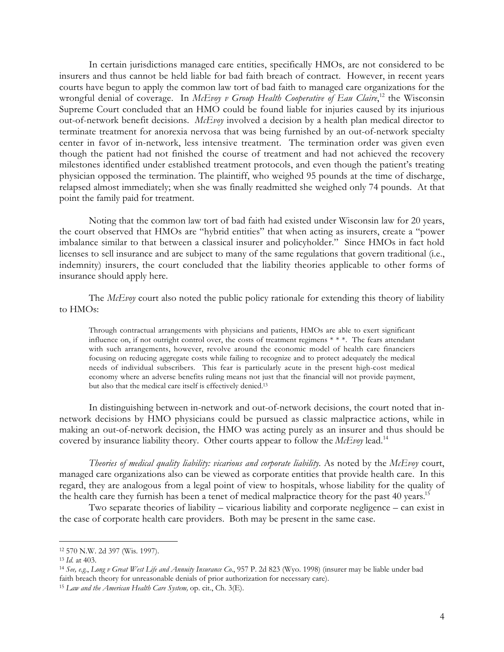In certain jurisdictions managed care entities, specifically HMOs, are not considered to be insurers and thus cannot be held liable for bad faith breach of contract. However, in recent years courts have begun to apply the common law tort of bad faith to managed care organizations for the wrongful denial of coverage. In *McEvoy v Group Health Cooperative of Eau Claire*, <sup>12</sup> the Wisconsin Supreme Court concluded that an HMO could be found liable for injuries caused by its injurious out-of-network benefit decisions. *McEvoy* involved a decision by a health plan medical director to terminate treatment for anorexia nervosa that was being furnished by an out-of-network specialty center in favor of in-network, less intensive treatment. The termination order was given even though the patient had not finished the course of treatment and had not achieved the recovery milestones identified under established treatment protocols, and even though the patient's treating physician opposed the termination. The plaintiff, who weighed 95 pounds at the time of discharge, relapsed almost immediately; when she was finally readmitted she weighed only 74 pounds. At that point the family paid for treatment.

Noting that the common law tort of bad faith had existed under Wisconsin law for 20 years, the court observed that HMOs are "hybrid entities" that when acting as insurers, create a "power imbalance similar to that between a classical insurer and policyholder." Since HMOs in fact hold licenses to sell insurance and are subject to many of the same regulations that govern traditional (i.e., indemnity) insurers, the court concluded that the liability theories applicable to other forms of insurance should apply here.

The *McEvoy* court also noted the public policy rationale for extending this theory of liability to HMOs:

Through contractual arrangements with physicians and patients, HMOs are able to exert significant influence on, if not outright control over, the costs of treatment regimens \* \* \*. The fears attendant with such arrangements, however, revolve around the economic model of health care financiers focusing on reducing aggregate costs while failing to recognize and to protect adequately the medical needs of individual subscribers. This fear is particularly acute in the present high-cost medical economy where an adverse benefits ruling means not just that the financial will not provide payment, but also that the medical care itself is effectively denied.13

In distinguishing between in-network and out-of-network decisions, the court noted that innetwork decisions by HMO physicians could be pursued as classic malpractice actions, while in making an out-of-network decision, the HMO was acting purely as an insurer and thus should be covered by insurance liability theory. Other courts appear to follow the *McEvoy* lead.<sup>14</sup>

*Theories of medical quality liability: vicarious and corporate liability.* As noted by the *McEvoy* court, managed care organizations also can be viewed as corporate entities that provide health care. In this regard, they are analogous from a legal point of view to hospitals, whose liability for the quality of the health care they furnish has been a tenet of medical malpractice theory for the past 40 years.<sup>15</sup>

Two separate theories of liability – vicarious liability and corporate negligence – can exist in the case of corporate health care providers. Both may be present in the same case.

<sup>12 570</sup> N.W. 2d 397 (Wis. 1997).

<sup>13</sup> *Id.* at 403.

<sup>14</sup> *See, e.g.*, *Long v Great West Life and Annuity Insurance Co.*, 957 P. 2d 823 (Wyo. 1998) (insurer may be liable under bad faith breach theory for unreasonable denials of prior authorization for necessary care).

<sup>15</sup> *Law and the American Health Care System,* op. cit., Ch. 3(E).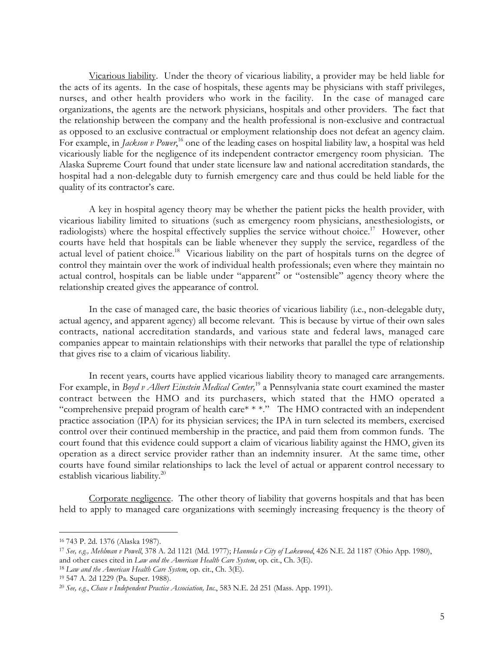Vicarious liability. Under the theory of vicarious liability, a provider may be held liable for the acts of its agents. In the case of hospitals, these agents may be physicians with staff privileges, nurses, and other health providers who work in the facility. In the case of managed care organizations, the agents are the network physicians, hospitals and other providers. The fact that the relationship between the company and the health professional is non-exclusive and contractual as opposed to an exclusive contractual or employment relationship does not defeat an agency claim. For example, in *Jackson v Power*,<sup>16</sup> one of the leading cases on hospital liability law, a hospital was held vicariously liable for the negligence of its independent contractor emergency room physician. The Alaska Supreme Court found that under state licensure law and national accreditation standards, the hospital had a non-delegable duty to furnish emergency care and thus could be held liable for the quality of its contractor's care.

A key in hospital agency theory may be whether the patient picks the health provider, with vicarious liability limited to situations (such as emergency room physicians, anesthesiologists, or radiologists) where the hospital effectively supplies the service without choice.<sup>17</sup> However, other courts have held that hospitals can be liable whenever they supply the service, regardless of the actual level of patient choice.<sup>18</sup> Vicarious liability on the part of hospitals turns on the degree of control they maintain over the work of individual health professionals; even where they maintain no actual control, hospitals can be liable under "apparent" or "ostensible" agency theory where the relationship created gives the appearance of control.

In the case of managed care, the basic theories of vicarious liability (i.e., non-delegable duty, actual agency, and apparent agency) all become relevant. This is because by virtue of their own sales contracts, national accreditation standards, and various state and federal laws, managed care companies appear to maintain relationships with their networks that parallel the type of relationship that gives rise to a claim of vicarious liability.

In recent years, courts have applied vicarious liability theory to managed care arrangements. For example, in *Boyd v Albert Einstein Medical Center,*<sup>19</sup> a Pennsylvania state court examined the master contract between the HMO and its purchasers, which stated that the HMO operated a "comprehensive prepaid program of health care\* \*\*." The HMO contracted with an independent practice association (IPA) for its physician services; the IPA in turn selected its members, exercised control over their continued membership in the practice, and paid them from common funds. The court found that this evidence could support a claim of vicarious liability against the HMO, given its operation as a direct service provider rather than an indemnity insurer. At the same time, other courts have found similar relationships to lack the level of actual or apparent control necessary to establish vicarious liability.<sup>20</sup>

Corporate negligence. The other theory of liability that governs hospitals and that has been held to apply to managed care organizations with seemingly increasing frequency is the theory of

<sup>16 743</sup> P. 2d. 1376 (Alaska 1987).

<sup>17</sup> *See, e.g., Mehlman v Powell*, 378 A. 2d 1121 (Md. 1977); *Hannola v City of Lakewood*, 426 N.E. 2d 1187 (Ohio App. 1980), and other cases cited in *Law and the American Health Care System*, op. cit., Ch. 3(E).

<sup>18</sup> *Law and the American Health Care System*, op. cit., Ch. 3(E).

<sup>19 547</sup> A. 2d 1229 (Pa. Super. 1988).

<sup>20</sup> *See, e.g.*, *Chase v Independent Practice Association, Inc.*, 583 N.E. 2d 251 (Mass. App. 1991).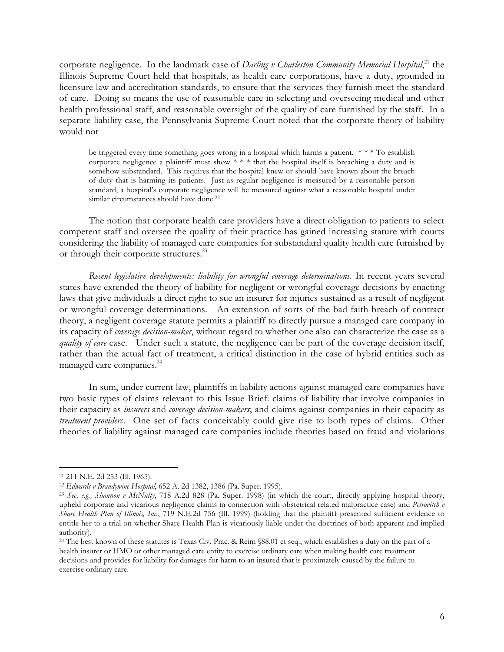corporate negligence. In the landmark case of *Darling v Charleston Community Memorial Hospital*,<sup>21</sup> the Illinois Supreme Court held that hospitals, as health care corporations, have a duty, grounded in licensure law and accreditation standards, to ensure that the services they furnish meet the standard of care. Doing so means the use of reasonable care in selecting and overseeing medical and other health professional staff, and reasonable oversight of the quality of care furnished by the staff. In a separate liability case, the Pennsylvania Supreme Court noted that the corporate theory of liability would not

be triggered every time something goes wrong in a hospital which harms a patient. \* \* \* To establish corporate negligence a plaintiff must show  $\check{*}$  \* \* that the hospital itself is breaching a duty and is somehow substandard. This requires that the hospital knew or should have known about the breach of duty that is harming its patients. Just as regular negligence is measured by a reasonable person standard, a hospital's corporate negligence will be measured against what a reasonable hospital under similar circumstances should have done.<sup>22</sup>

The notion that corporate health care providers have a direct obligation to patients to select competent staff and oversee the quality of their practice has gained increasing stature with courts considering the liability of managed care companies for substandard quality health care furnished by or through their corporate structures.<sup>23</sup>

*Recent legislative developments: liability for wrongful coverage determinations.* In recent years several states have extended the theory of liability for negligent or wrongful coverage decisions by enacting laws that give individuals a direct right to sue an insurer for injuries sustained as a result of negligent or wrongful coverage determinations. An extension of sorts of the bad faith breach of contract theory, a negligent coverage statute permits a plaintiff to directly pursue a managed care company in its capacity of *coverage decision-maker*, without regard to whether one also can characterize the case as a *quality of care* case. Under such a statute, the negligence can be part of the coverage decision itself, rather than the actual fact of treatment, a critical distinction in the case of hybrid entities such as managed care companies.<sup>24</sup>

In sum, under current law, plaintiffs in liability actions against managed care companies have two basic types of claims relevant to this Issue Brief: claims of liability that involve companies in their capacity as *insurers* and *coverage decision-makers*; and claims against companies in their capacity as *treatment providers*. One set of facts conceivably could give rise to both types of claims. Other theories of liability against managed care companies include theories based on fraud and violations

<sup>21 211</sup> N.E. 2d 253 (Ill. 1965).

<sup>22</sup> *Edwards v Brandywine Hospital*, 652 A. 2d 1382, 1386 (Pa. Super. 1995).

<sup>23</sup> *See, e.g., Shannon v McNulty*, 718 A.2d 828 (Pa. Super. 1998) (in which the court, directly applying hospital theory, upheld corporate and vicarious negligence claims in connection with obstetrical related malpractice case) and *Petrovitch v Share Health Plan of Illinois, Inc.*, 719 N.E.2d 756 (Ill. 1999) (holding that the plaintiff presented sufficient evidence to entitle her to a trial on whether Share Health Plan is vicariously liable under the doctrines of both apparent and implied authority).

<sup>&</sup>lt;sup>24</sup> The best known of these statutes is Texas Civ. Prac. & Reim §88.01 et seq., which establishes a duty on the part of a health insurer or HMO or other managed care entity to exercise ordinary care when making health care treatment decisions and provides for liability for damages for harm to an insured that is proximately caused by the failure to exercise ordinary care.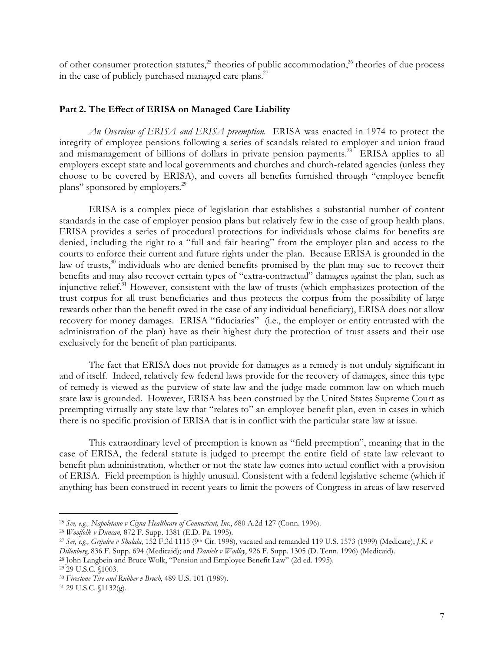of other consumer protection statutes,<sup>25</sup> theories of public accommodation,<sup>26</sup> theories of due process in the case of publicly purchased managed care plans. $27$ 

## **Part 2. The Effect of ERISA on Managed Care Liability**

*An Overview of ERISA and ERISA preemption*. ERISA was enacted in 1974 to protect the integrity of employee pensions following a series of scandals related to employer and union fraud and mismanagement of billions of dollars in private pension payments.<sup>28</sup> ERISA applies to all employers except state and local governments and churches and church-related agencies (unless they choose to be covered by ERISA), and covers all benefits furnished through "employee benefit plans" sponsored by employers.<sup>29</sup>

ERISA is a complex piece of legislation that establishes a substantial number of content standards in the case of employer pension plans but relatively few in the case of group health plans. ERISA provides a series of procedural protections for individuals whose claims for benefits are denied, including the right to a "full and fair hearing" from the employer plan and access to the courts to enforce their current and future rights under the plan. Because ERISA is grounded in the law of trusts, $30$  individuals who are denied benefits promised by the plan may sue to recover their benefits and may also recover certain types of "extra-contractual" damages against the plan, such as injunctive relief.<sup>31</sup> However, consistent with the law of trusts (which emphasizes protection of the trust corpus for all trust beneficiaries and thus protects the corpus from the possibility of large rewards other than the benefit owed in the case of any individual beneficiary), ERISA does not allow recovery for money damages. ERISA "fiduciaries" (i.e., the employer or entity entrusted with the administration of the plan) have as their highest duty the protection of trust assets and their use exclusively for the benefit of plan participants.

The fact that ERISA does not provide for damages as a remedy is not unduly significant in and of itself. Indeed, relatively few federal laws provide for the recovery of damages, since this type of remedy is viewed as the purview of state law and the judge-made common law on which much state law is grounded. However, ERISA has been construed by the United States Supreme Court as preempting virtually any state law that "relates to" an employee benefit plan, even in cases in which there is no specific provision of ERISA that is in conflict with the particular state law at issue.

This extraordinary level of preemption is known as "field preemption", meaning that in the case of ERISA, the federal statute is judged to preempt the entire field of state law relevant to benefit plan administration, whether or not the state law comes into actual conflict with a provision of ERISA. Field preemption is highly unusual. Consistent with a federal legislative scheme (which if anything has been construed in recent years to limit the powers of Congress in areas of law reserved

<sup>25</sup> *See, e.g., Napoletano v Cigna Healthcare of Connecticut, Inc.*, *6*80 A.2d 127 (Conn. 1996).

<sup>26</sup> *Woolfolk v Duncan*, 872 F. Supp. 1381 (E.D. Pa. 1995).

<sup>27</sup> *See, e.g., Grijalva v Shalala*, 152 F.3d 1115 (9th Cir. 1998), vacated and remanded 119 U.S. 1573 (1999) (Medicare); *J.K. v Dillenberg*, 836 F. Supp. 694 (Medicaid); and *Daniels v Wadley*, 926 F. Supp. 1305 (D. Tenn. 1996) (Medicaid).

<sup>28</sup> John Langbein and Bruce Wolk, "Pension and Employee Benefit Law" (2d ed. 1995).

<sup>29 29</sup> U.S.C. §1003.

<sup>30</sup> *Firestone Tire and Rubber v Bruch*, 489 U.S. 101 (1989).

<sup>31 29</sup> U.S.C. §1132(g).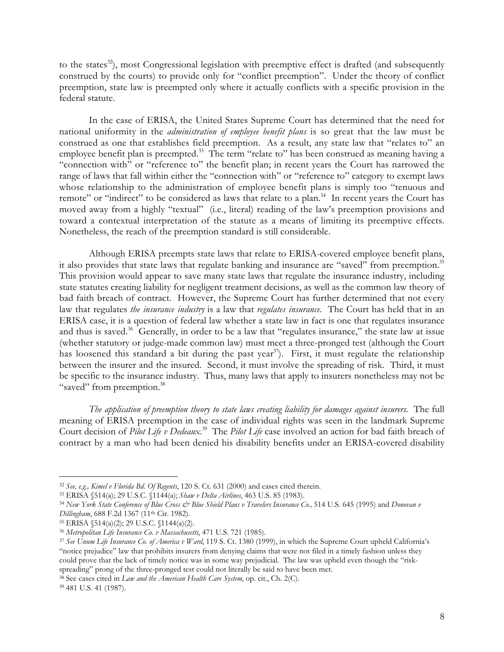to the states $^{32}$ , most Congressional legislation with preemptive effect is drafted (and subsequently construed by the courts) to provide only for "conflict preemption". Under the theory of conflict preemption, state law is preempted only where it actually conflicts with a specific provision in the federal statute.

In the case of ERISA, the United States Supreme Court has determined that the need for national uniformity in the *administration of employee benefit plans* is so great that the law must be construed as one that establishes field preemption. As a result, any state law that "relates to" an employee benefit plan is preempted.<sup>33</sup> The term "relate to" has been construed as meaning having a "connection with" or "reference to" the benefit plan; in recent years the Court has narrowed the range of laws that fall within either the "connection with" or "reference to" category to exempt laws whose relationship to the administration of employee benefit plans is simply too "tenuous and remote" or "indirect" to be considered as laws that relate to a plan.<sup>34</sup> In recent years the Court has moved away from a highly "textual" (i.e., literal) reading of the law's preemption provisions and toward a contextual interpretation of the statute as a means of limiting its preemptive effects. Nonetheless, the reach of the preemption standard is still considerable.

Although ERISA preempts state laws that relate to ERISA-covered employee benefit plans, it also provides that state laws that regulate banking and insurance are "saved" from preemption.<sup>35</sup> This provision would appear to save many state laws that regulate the insurance industry, including state statutes creating liability for negligent treatment decisions, as well as the common law theory of bad faith breach of contract. However, the Supreme Court has further determined that not every law that regulates *the insurance industry* is a law that *regulates insurance.* The Court has held that in an ERISA case, it is a question of federal law whether a state law in fact is one that regulates insurance and thus is saved.<sup>36</sup> Generally, in order to be a law that "regulates insurance," the state law at issue (whether statutory or judge-made common law) must meet a three-pronged test (although the Court has loosened this standard a bit during the past year<sup>37</sup>). First, it must regulate the relationship between the insurer and the insured. Second, it must involve the spreading of risk. Third, it must be specific to the insurance industry. Thus, many laws that apply to insurers nonetheless may not be "saved" from preemption.<sup>38</sup>

*The application of preemption theory to state laws creating liability for damages against insurers.* The full meaning of ERISA preemption in the case of individual rights was seen in the landmark Supreme Court decision of *Pilot Life v Dedeaux.*39 The *Pilot Life* case involved an action for bad faith breach of contract by a man who had been denied his disability benefits under an ERISA-covered disability

<sup>32</sup> *See, e.g., Kimel v Florida Bd. Of Regents*, 120 S. Ct. 631 (2000) and cases cited therein.

<sup>33</sup> ERISA §514(a); 29 U.S.C. §1144(a); *Shaw v Delta Airlines*, 463 U.S. 85 (1983).

<sup>34</sup> *New York State Conference of Blue Cross & Blue Shield Plans v Travelers Insurance Co.,* 514 U.S. 645 (1995) and *Donovan v Dillingham*, 688 F.2d 1367 (11th Cir. 1982).

<sup>35</sup> ERISA §514(a)(2); 29 U.S.C. §1144(a)(2).

<sup>36</sup> *Metropolitan Life Insurance Co. v Massachusetts*, 471 U.S. 721 (1985).

<sup>37</sup> *See Unum Life Insurance Co. of America v Ward*, 119 S. Ct. 1380 (1999), in which the Supreme Court upheld California's "notice prejudice" law that prohibits insurers from denying claims that were not filed in a timely fashion unless they could prove that the lack of timely notice was in some way prejudicial. The law was upheld even though the "riskspreading" prong of the three-pronged test could not literally be said to have been met.

<sup>38</sup> See cases cited in *Law and the American Health Care System*, op. cit., Ch. 2(C).

<sup>39 481</sup> U.S. 41 (1987).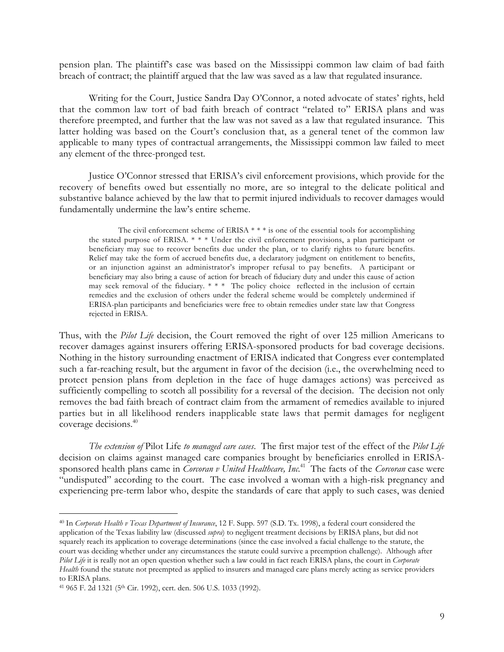pension plan. The plaintiff's case was based on the Mississippi common law claim of bad faith breach of contract; the plaintiff argued that the law was saved as a law that regulated insurance.

Writing for the Court, Justice Sandra Day O'Connor, a noted advocate of states' rights, held that the common law tort of bad faith breach of contract "related to" ERISA plans and was therefore preempted, and further that the law was not saved as a law that regulated insurance. This latter holding was based on the Court's conclusion that, as a general tenet of the common law applicable to many types of contractual arrangements, the Mississippi common law failed to meet any element of the three-pronged test.

Justice O'Connor stressed that ERISA's civil enforcement provisions, which provide for the recovery of benefits owed but essentially no more, are so integral to the delicate political and substantive balance achieved by the law that to permit injured individuals to recover damages would fundamentally undermine the law's entire scheme.

The civil enforcement scheme of ERISA  $***$  is one of the essential tools for accomplishing the stated purpose of ERISA. \* \* \* Under the civil enforcement provisions, a plan participant or beneficiary may sue to recover benefits due under the plan, or to clarify rights to future benefits. Relief may take the form of accrued benefits due, a declaratory judgment on entitlement to benefits, or an injunction against an administrator's improper refusal to pay benefits. A participant or beneficiary may also bring a cause of action for breach of fiduciary duty and under this cause of action may seek removal of the fiduciary. \* \* \* The policy choice reflected in the inclusion of certain remedies and the exclusion of others under the federal scheme would be completely undermined if ERISA-plan participants and beneficiaries were free to obtain remedies under state law that Congress rejected in ERISA.

Thus, with the *Pilot Life* decision, the Court removed the right of over 125 million Americans to recover damages against insurers offering ERISA-sponsored products for bad coverage decisions. Nothing in the history surrounding enactment of ERISA indicated that Congress ever contemplated such a far-reaching result, but the argument in favor of the decision (i.e., the overwhelming need to protect pension plans from depletion in the face of huge damages actions) was perceived as sufficiently compelling to scotch all possibility for a reversal of the decision. The decision not only removes the bad faith breach of contract claim from the armament of remedies available to injured parties but in all likelihood renders inapplicable state laws that permit damages for negligent coverage decisions.40

*The extension of* Pilot Life *to managed care cases*. The first major test of the effect of the *Pilot Life* decision on claims against managed care companies brought by beneficiaries enrolled in ERISAsponsored health plans came in *Corcoran v United Healthcare, Inc*. 41 The facts of the *Corcoran* case were "undisputed" according to the court. The case involved a woman with a high-risk pregnancy and experiencing pre-term labor who, despite the standards of care that apply to such cases, was denied

<sup>40</sup> In *Corporate Health v Texas Department of Insurance*, 12 F. Supp. 597 (S.D. Tx. 1998), a federal court considered the application of the Texas liability law (discussed *supra*) to negligent treatment decisions by ERISA plans, but did not squarely reach its application to coverage determinations (since the case involved a facial challenge to the statute, the court was deciding whether under any circumstances the statute could survive a preemption challenge). Although after *Pilot Life* it is really not an open question whether such a law could in fact reach ERISA plans, the court in *Corporate Health* found the statute not preempted as applied to insurers and managed care plans merely acting as service providers to ERISA plans.

<sup>41</sup> 965 F. 2d 1321 (5th Cir. 1992), cert. den. 506 U.S. 1033 (1992).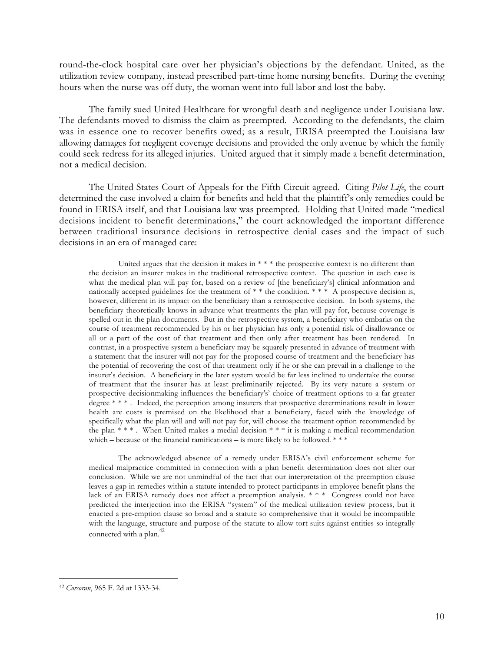round-the-clock hospital care over her physician's objections by the defendant. United, as the utilization review company, instead prescribed part-time home nursing benefits. During the evening hours when the nurse was off duty, the woman went into full labor and lost the baby.

The family sued United Healthcare for wrongful death and negligence under Louisiana law. The defendants moved to dismiss the claim as preempted. According to the defendants, the claim was in essence one to recover benefits owed; as a result, ERISA preempted the Louisiana law allowing damages for negligent coverage decisions and provided the only avenue by which the family could seek redress for its alleged injuries. United argued that it simply made a benefit determination, not a medical decision.

The United States Court of Appeals for the Fifth Circuit agreed. Citing *Pilot Life*, the court determined the case involved a claim for benefits and held that the plaintiff's only remedies could be found in ERISA itself, and that Louisiana law was preempted. Holding that United made "medical decisions incident to benefit determinations," the court acknowledged the important difference between traditional insurance decisions in retrospective denial cases and the impact of such decisions in an era of managed care:

United argues that the decision it makes in  $***$  the prospective context is no different than the decision an insurer makes in the traditional retrospective context. The question in each case is what the medical plan will pay for, based on a review of [the beneficiary's] clinical information and nationally accepted guidelines for the treatment of \* \* the condition. \* \* \* A prospective decision is, however, different in its impact on the beneficiary than a retrospective decision. In both systems, the beneficiary theoretically knows in advance what treatments the plan will pay for, because coverage is spelled out in the plan documents. But in the retrospective system, a beneficiary who embarks on the course of treatment recommended by his or her physician has only a potential risk of disallowance or all or a part of the cost of that treatment and then only after treatment has been rendered. In contrast, in a prospective system a beneficiary may be squarely presented in advance of treatment with a statement that the insurer will not pay for the proposed course of treatment and the beneficiary has the potential of recovering the cost of that treatment only if he or she can prevail in a challenge to the insurer's decision. A beneficiary in the later system would be far less inclined to undertake the course of treatment that the insurer has at least preliminarily rejected. By its very nature a system or prospective decisionmaking influences the beneficiary's' choice of treatment options to a far greater degree \* \* \*. Indeed, the perception among insurers that prospective determinations result in lower health are costs is premised on the likelihood that a beneficiary, faced with the knowledge of specifically what the plan will and will not pay for, will choose the treatment option recommended by the plan  $**$ . When United makes a medial decision  $***$  it is making a medical recommendation which – because of the financial ramifications – is more likely to be followed.  $***$ 

The acknowledged absence of a remedy under ERISA's civil enforcement scheme for medical malpractice committed in connection with a plan benefit determination does not alter our conclusion. While we are not unmindful of the fact that our interpretation of the preemption clause leaves a gap in remedies within a statute intended to protect participants in employee benefit plans the lack of an ERISA remedy does not affect a preemption analysis. \* \* \* Congress could not have predicted the interjection into the ERISA "system" of the medical utilization review process, but it enacted a pre-emption clause so broad and a statute so comprehensive that it would be incompatible with the language, structure and purpose of the statute to allow tort suits against entities so integrally connected with a plan.<sup>42</sup>

<sup>42</sup> *Corcoran*, 965 F. 2d at 1333-34.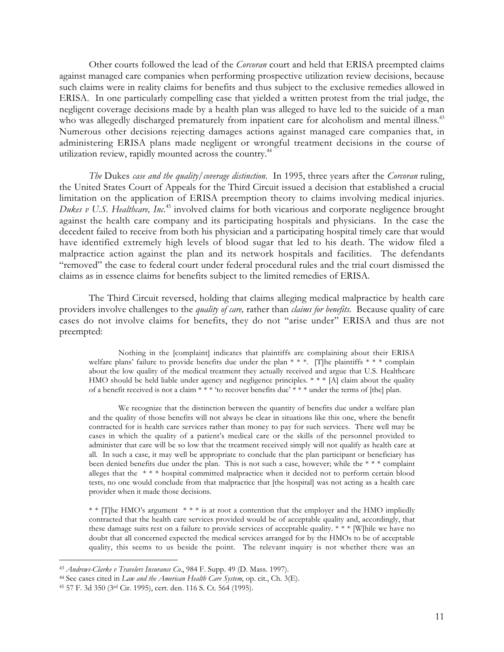Other courts followed the lead of the *Corcoran* court and held that ERISA preempted claims against managed care companies when performing prospective utilization review decisions, because such claims were in reality claims for benefits and thus subject to the exclusive remedies allowed in ERISA. In one particularly compelling case that yielded a written protest from the trial judge, the negligent coverage decisions made by a health plan was alleged to have led to the suicide of a man who was allegedly discharged prematurely from inpatient care for alcoholism and mental illness.<sup>43</sup> Numerous other decisions rejecting damages actions against managed care companies that, in administering ERISA plans made negligent or wrongful treatment decisions in the course of utilization review, rapidly mounted across the country.<sup>44</sup>

*The* Dukes *case and the quality/coverage distinction*. In 1995, three years after the *Corcoran* ruling, the United States Court of Appeals for the Third Circuit issued a decision that established a crucial limitation on the application of ERISA preemption theory to claims involving medical injuries. *Dukes v U.S. Healthcare, Inc.*<sup>45</sup> involved claims for both vicarious and corporate negligence brought against the health care company and its participating hospitals and physicians. In the case the decedent failed to receive from both his physician and a participating hospital timely care that would have identified extremely high levels of blood sugar that led to his death. The widow filed a malpractice action against the plan and its network hospitals and facilities. The defendants "removed" the case to federal court under federal procedural rules and the trial court dismissed the claims as in essence claims for benefits subject to the limited remedies of ERISA.

The Third Circuit reversed, holding that claims alleging medical malpractice by health care providers involve challenges to the *quality of care,* rather than *claims for benefits.* Because quality of care cases do not involve claims for benefits, they do not "arise under" ERISA and thus are not preempted:

Nothing in the [complaint] indicates that plaintiffs are complaining about their ERISA welfare plans' failure to provide benefits due under the plan \* \* \*. [T]he plaintiffs \* \* \* complain about the low quality of the medical treatment they actually received and argue that U.S. Healthcare HMO should be held liable under agency and negligence principles.  $* * * [A]$  claim about the quality of a benefit received is not a claim \* \* \* 'to recover benefits due' \* \* \* under the terms of [the] plan.

We recognize that the distinction between the quantity of benefits due under a welfare plan and the quality of those benefits will not always be clear in situations like this one, where the benefit contracted for is health care services rather than money to pay for such services. There well may be cases in which the quality of a patient's medical care or the skills of the personnel provided to administer that care will be so low that the treatment received simply will not qualify as health care at all. In such a case, it may well be appropriate to conclude that the plan participant or beneficiary has been denied benefits due under the plan. This is not such a case, however; while the \* \* \* complaint alleges that the \* \* \* hospital committed malpractice when it decided not to perform certain blood tests, no one would conclude from that malpractice that [the hospital] was not acting as a health care provider when it made those decisions.

\* \* [T]he HMO's argument \* \* \* is at root a contention that the employer and the HMO impliedly contracted that the health care services provided would be of acceptable quality and, accordingly, that these damage suits rest on a failure to provide services of acceptable quality. \* \* \* [W]hile we have no doubt that all concerned expected the medical services arranged for by the HMOs to be of acceptable quality, this seems to us beside the point. The relevant inquiry is not whether there was an

l<br>L

<sup>43</sup> *Andrews-Clarke v Travelers Insurance Co.*, 984 F. Supp. 49 (D. Mass. 1997).

<sup>44</sup> See cases cited in *Law and the American Health Care System*, op. cit., Ch. 3(E).

<sup>45 57</sup> F. 3d 350 (3rd Cir. 1995), cert. den. 116 S. Ct. 564 (1995).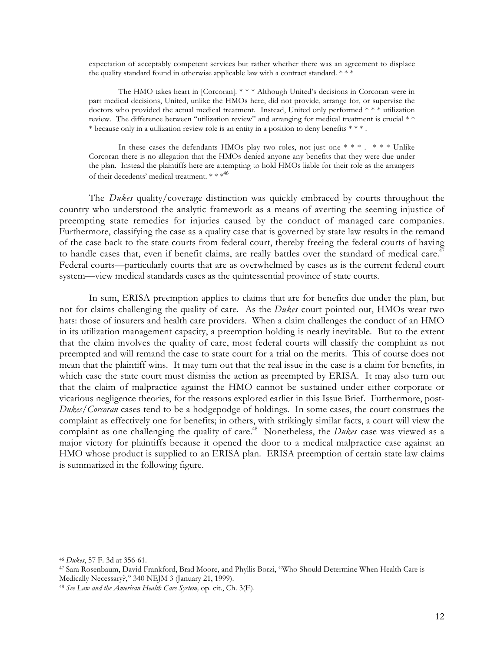expectation of acceptably competent services but rather whether there was an agreement to displace the quality standard found in otherwise applicable law with a contract standard. \* \* \*

The HMO takes heart in [Corcoran]. \* \* \* Although United's decisions in Corcoran were in part medical decisions, United, unlike the HMOs here, did not provide, arrange for, or supervise the doctors who provided the actual medical treatment. Instead, United only performed \* \* \* utilization review. The difference between "utilization review" and arranging for medical treatment is crucial \* \* \* because only in a utilization review role is an entity in a position to deny benefits \* \* \* .

In these cases the defendants HMOs play two roles, not just one \* \* \* . \* \* \* Unlike Corcoran there is no allegation that the HMOs denied anyone any benefits that they were due under the plan. Instead the plaintiffs here are attempting to hold HMOs liable for their role as the arrangers of their decedents' medical treatment. \*\*\*<sup>46</sup>

The *Dukes* quality/coverage distinction was quickly embraced by courts throughout the country who understood the analytic framework as a means of averting the seeming injustice of preempting state remedies for injuries caused by the conduct of managed care companies. Furthermore, classifying the case as a quality case that is governed by state law results in the remand of the case back to the state courts from federal court, thereby freeing the federal courts of having to handle cases that, even if benefit claims, are really battles over the standard of medical care.<sup>47</sup> Federal courts—particularly courts that are as overwhelmed by cases as is the current federal court system—view medical standards cases as the quintessential province of state courts.

In sum, ERISA preemption applies to claims that are for benefits due under the plan, but not for claims challenging the quality of care. As the *Dukes* court pointed out, HMOs wear two hats: those of insurers and health care providers. When a claim challenges the conduct of an HMO in its utilization management capacity, a preemption holding is nearly inevitable. But to the extent that the claim involves the quality of care, most federal courts will classify the complaint as not preempted and will remand the case to state court for a trial on the merits. This of course does not mean that the plaintiff wins. It may turn out that the real issue in the case is a claim for benefits, in which case the state court must dismiss the action as preempted by ERISA. It may also turn out that the claim of malpractice against the HMO cannot be sustained under either corporate or vicarious negligence theories, for the reasons explored earlier in this Issue Brief. Furthermore, post-*Dukes*/*Corcoran* cases tend to be a hodgepodge of holdings. In some cases, the court construes the complaint as effectively one for benefits; in others, with strikingly similar facts, a court will view the complaint as one challenging the quality of care.<sup>48</sup> Nonetheless, the *Dukes* case was viewed as a major victory for plaintiffs because it opened the door to a medical malpractice case against an HMO whose product is supplied to an ERISA plan. ERISA preemption of certain state law claims is summarized in the following figure.

<sup>46</sup> *Dukes*, 57 F. 3d at 356-61.

<sup>47</sup> Sara Rosenbaum, David Frankford, Brad Moore, and Phyllis Borzi, "Who Should Determine When Health Care is Medically Necessary?," 340 NEJM 3 (January 21, 1999).

<sup>48</sup> *See Law and the American Health Care System,* op. cit., Ch. 3(E).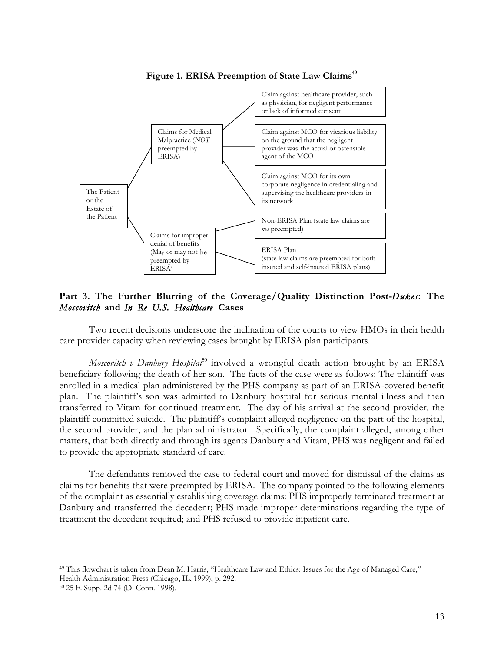

Figure 1. ERISA Preemption of State Law Claims<sup>49</sup>

**Part 3. The Further Blurring of the Coverage/Quality Distinction Post-***Dukes***: The** *Moscovitch* **and** *In Re U.S. Healthcare* **Cases**

Two recent decisions underscore the inclination of the courts to view HMOs in their health care provider capacity when reviewing cases brought by ERISA plan participants.

*Moscovitch v Danbury Hospital*<sup>50</sup> involved a wrongful death action brought by an ERISA beneficiary following the death of her son. The facts of the case were as follows: The plaintiff was enrolled in a medical plan administered by the PHS company as part of an ERISA-covered benefit plan. The plaintiff's son was admitted to Danbury hospital for serious mental illness and then transferred to Vitam for continued treatment. The day of his arrival at the second provider, the plaintiff committed suicide. The plaintiff's complaint alleged negligence on the part of the hospital, the second provider, and the plan administrator. Specifically, the complaint alleged, among other matters, that both directly and through its agents Danbury and Vitam, PHS was negligent and failed to provide the appropriate standard of care.

The defendants removed the case to federal court and moved for dismissal of the claims as claims for benefits that were preempted by ERISA. The company pointed to the following elements of the complaint as essentially establishing coverage claims: PHS improperly terminated treatment at Danbury and transferred the decedent; PHS made improper determinations regarding the type of treatment the decedent required; and PHS refused to provide inpatient care.

l<br>L

<sup>49</sup> This flowchart is taken from Dean M. Harris, "Healthcare Law and Ethics: Issues for the Age of Managed Care," Health Administration Press (Chicago, IL, 1999), p. 292.

<sup>50 25</sup> F. Supp. 2d 74 (D. Conn. 1998).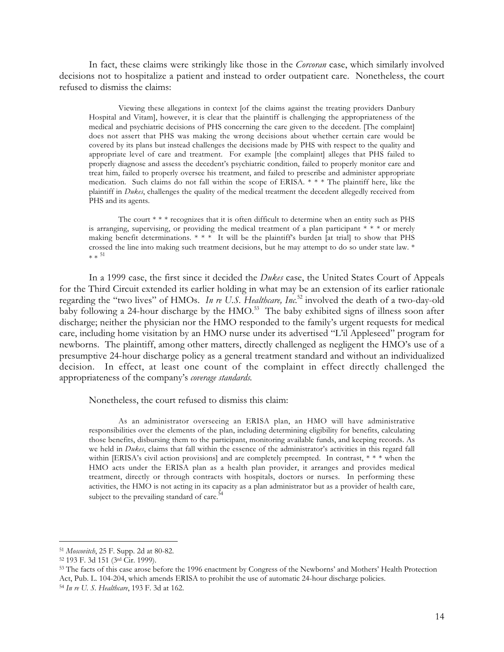In fact, these claims were strikingly like those in the *Corcoran* case, which similarly involved decisions not to hospitalize a patient and instead to order outpatient care. Nonetheless, the court refused to dismiss the claims:

Viewing these allegations in context [of the claims against the treating providers Danbury Hospital and Vitam], however, it is clear that the plaintiff is challenging the appropriateness of the medical and psychiatric decisions of PHS concerning the care given to the decedent. [The complaint] does not assert that PHS was making the wrong decisions about whether certain care would be covered by its plans but instead challenges the decisions made by PHS with respect to the quality and appropriate level of care and treatment. For example [the complaint] alleges that PHS failed to properly diagnose and assess the decedent's psychiatric condition, failed to properly monitor care and treat him, failed to properly oversee his treatment, and failed to prescribe and administer appropriate medication. Such claims do not fall within the scope of ERISA. \* \* \* The plaintiff here, like the plaintiff in *Dukes*, challenges the quality of the medical treatment the decedent allegedly received from PHS and its agents.

The court \* \* \* recognizes that it is often difficult to determine when an entity such as PHS is arranging, supervising, or providing the medical treatment of a plan participant  $* * *$  or merely making benefit determinations.  $***$  It will be the plaintiff's burden [at trial] to show that PHS crossed the line into making such treatment decisions, but he may attempt to do so under state law. \*  $* * 51$ 

In a 1999 case, the first since it decided the *Dukes* case, the United States Court of Appeals for the Third Circuit extended its earlier holding in what may be an extension of its earlier rationale regarding the "two lives" of HMOs. *In re U.S. Healthcare, Inc.*<sup>52</sup> involved the death of a two-day-old baby following a 24-hour discharge by the HMO.<sup>53</sup> The baby exhibited signs of illness soon after discharge; neither the physician nor the HMO responded to the family's urgent requests for medical care, including home visitation by an HMO nurse under its advertised "L'il Appleseed" program for newborns. The plaintiff, among other matters, directly challenged as negligent the HMO's use of a presumptive 24-hour discharge policy as a general treatment standard and without an individualized decision. In effect, at least one count of the complaint in effect directly challenged the appropriateness of the company's *coverage standards.*

Nonetheless, the court refused to dismiss this claim:

As an administrator overseeing an ERISA plan, an HMO will have administrative responsibilities over the elements of the plan, including determining eligibility for benefits, calculating those benefits, disbursing them to the participant, monitoring available funds, and keeping records. As we held in *Dukes*, claims that fall within the essence of the administrator's activities in this regard fall within [ERISA's civil action provisions] and are completely preempted. In contrast, \* \* \* when the HMO acts under the ERISA plan as a health plan provider, it arranges and provides medical treatment, directly or through contracts with hospitals, doctors or nurses. In performing these activities, the HMO is not acting in its capacity as a plan administrator but as a provider of health care, subject to the prevailing standard of care.<sup>54</sup>

ı

53 The facts of this case arose before the 1996 enactment by Congress of the Newborns' and Mothers' Health Protection Act, Pub. L. 104-204, which amends ERISA to prohibit the use of automatic 24-hour discharge policies. <sup>54</sup> *In re U. S. Healthcare*, 193 F. 3d at 162.

<sup>51</sup> *Moscovitch*, 25 F. Supp. 2d at 80-82.

<sup>52 193</sup> F. 3d 151 (3rd Cir. 1999).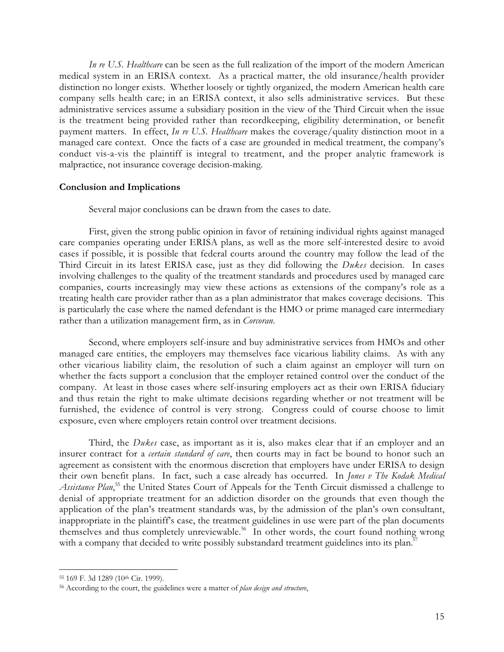*In re U.S. Healthcare* can be seen as the full realization of the import of the modern American medical system in an ERISA context. As a practical matter, the old insurance/health provider distinction no longer exists. Whether loosely or tightly organized, the modern American health care company sells health care; in an ERISA context, it also sells administrative services. But these administrative services assume a subsidiary position in the view of the Third Circuit when the issue is the treatment being provided rather than recordkeeping, eligibility determination, or benefit payment matters. In effect, *In re U.S. Healthcare* makes the coverage/quality distinction moot in a managed care context. Once the facts of a case are grounded in medical treatment, the company's conduct vis-a-vis the plaintiff is integral to treatment, and the proper analytic framework is malpractice, not insurance coverage decision-making.

### **Conclusion and Implications**

Several major conclusions can be drawn from the cases to date.

First, given the strong public opinion in favor of retaining individual rights against managed care companies operating under ERISA plans, as well as the more self-interested desire to avoid cases if possible, it is possible that federal courts around the country may follow the lead of the Third Circuit in its latest ERISA case, just as they did following the *Dukes* decision. In cases involving challenges to the quality of the treatment standards and procedures used by managed care companies, courts increasingly may view these actions as extensions of the company's role as a treating health care provider rather than as a plan administrator that makes coverage decisions. This is particularly the case where the named defendant is the HMO or prime managed care intermediary rather than a utilization management firm, as in *Corcoran*.

Second, where employers self-insure and buy administrative services from HMOs and other managed care entities, the employers may themselves face vicarious liability claims. As with any other vicarious liability claim, the resolution of such a claim against an employer will turn on whether the facts support a conclusion that the employer retained control over the conduct of the company. At least in those cases where self-insuring employers act as their own ERISA fiduciary and thus retain the right to make ultimate decisions regarding whether or not treatment will be furnished, the evidence of control is very strong. Congress could of course choose to limit exposure, even where employers retain control over treatment decisions.

Third, the *Dukes* case, as important as it is, also makes clear that if an employer and an insurer contract for a *certain standard of care*, then courts may in fact be bound to honor such an agreement as consistent with the enormous discretion that employers have under ERISA to design their own benefit plans. In fact, such a case already has occurred. In *Jones v The Kodak Medical* Assistance Plan,<sup>55</sup> the United States Court of Appeals for the Tenth Circuit dismissed a challenge to denial of appropriate treatment for an addiction disorder on the grounds that even though the application of the plan's treatment standards was, by the admission of the plan's own consultant, inappropriate in the plaintiff's case, the treatment guidelines in use were part of the plan documents themselves and thus completely unreviewable.<sup>56</sup> In other words, the court found nothing wrong with a company that decided to write possibly substandard treatment guidelines into its plan.<sup>5</sup>

l<br>L

<sup>55 169</sup> F. 3d 1289 (10th Cir. 1999).

<sup>56</sup> According to the court, the guidelines were a matter of *plan design and structure*,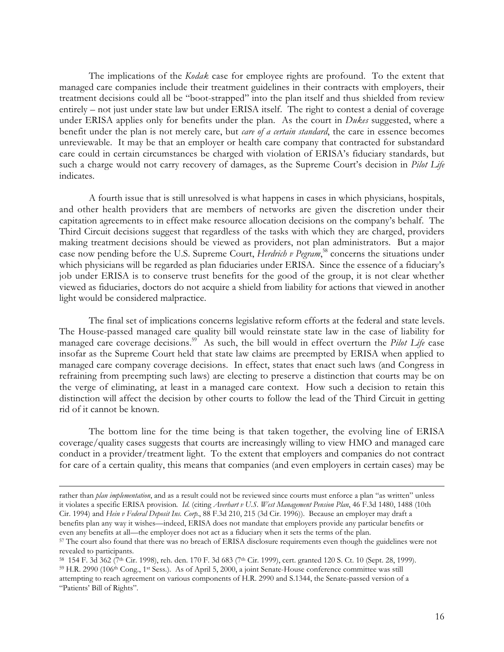The implications of the *Kodak* case for employee rights are profound. To the extent that managed care companies include their treatment guidelines in their contracts with employers, their treatment decisions could all be "boot-strapped" into the plan itself and thus shielded from review entirely – not just under state law but under ERISA itself. The right to contest a denial of coverage under ERISA applies only for benefits under the plan. As the court in *Dukes* suggested, where a benefit under the plan is not merely care, but *care of a certain standard*, the care in essence becomes unreviewable. It may be that an employer or health care company that contracted for substandard care could in certain circumstances be charged with violation of ERISA's fiduciary standards, but such a charge would not carry recovery of damages, as the Supreme Court's decision in *Pilot Life* indicates.

A fourth issue that is still unresolved is what happens in cases in which physicians, hospitals, and other health providers that are members of networks are given the discretion under their capitation agreements to in effect make resource allocation decisions on the company's behalf. The Third Circuit decisions suggest that regardless of the tasks with which they are charged, providers making treatment decisions should be viewed as providers, not plan administrators. But a major case now pending before the U.S. Supreme Court, *Herdrich v Pegram*, <sup>58</sup> concerns the situations under which physicians will be regarded as plan fiduciaries under ERISA. Since the essence of a fiduciary's job under ERISA is to conserve trust benefits for the good of the group, it is not clear whether viewed as fiduciaries, doctors do not acquire a shield from liability for actions that viewed in another light would be considered malpractice.

The final set of implications concerns legislative reform efforts at the federal and state levels. The House-passed managed care quality bill would reinstate state law in the case of liability for managed care coverage decisions.<sup>59</sup> As such, the bill would in effect overturn the *Pilot Life* case insofar as the Supreme Court held that state law claims are preempted by ERISA when applied to managed care company coverage decisions. In effect, states that enact such laws (and Congress in refraining from preempting such laws) are electing to preserve a distinction that courts may be on the verge of eliminating, at least in a managed care context. How such a decision to retain this distinction will affect the decision by other courts to follow the lead of the Third Circuit in getting rid of it cannot be known.

The bottom line for the time being is that taken together, the evolving line of ERISA coverage/quality cases suggests that courts are increasingly willing to view HMO and managed care conduct in a provider/treatment light. To the extent that employers and companies do not contract for care of a certain quality, this means that companies (and even employers in certain cases) may be

rather than *plan implementation*, and as a result could not be reviewed since courts must enforce a plan "as written" unless it violates a specific ERISA provision*. Id.* (citing *Averhart v U.S. West Management Pension Plan*, 46 F.3d 1480, 1488 (10th Cir. 1994) and *Hein v Federal Deposit Ins. Corp.*, 88 F.3d 210, 215 (3d Cir. 1996)). Because an employer may draft a benefits plan any way it wishes—indeed, ERISA does not mandate that employers provide any particular benefits or even any benefits at all—the employer does not act as a fiduciary when it sets the terms of the plan.

<sup>57</sup> The court also found that there was no breach of ERISA disclosure requirements even though the guidelines were not revealed to participants.

<sup>58 154</sup> F. 3d 362 (7<sup>th</sup> Cir. 1998), reh. den. 170 F. 3d 683 (7<sup>th</sup> Cir. 1999), cert. granted 120 S. Ct. 10 (Sept. 28, 1999). 59 H.R. 2990 (106th Cong., 1st Sess.). As of April 5, 2000, a joint Senate-House conference committee was still attempting to reach agreement on various components of H.R. 2990 and S.1344, the Senate-passed version of a "Patients' Bill of Rights".